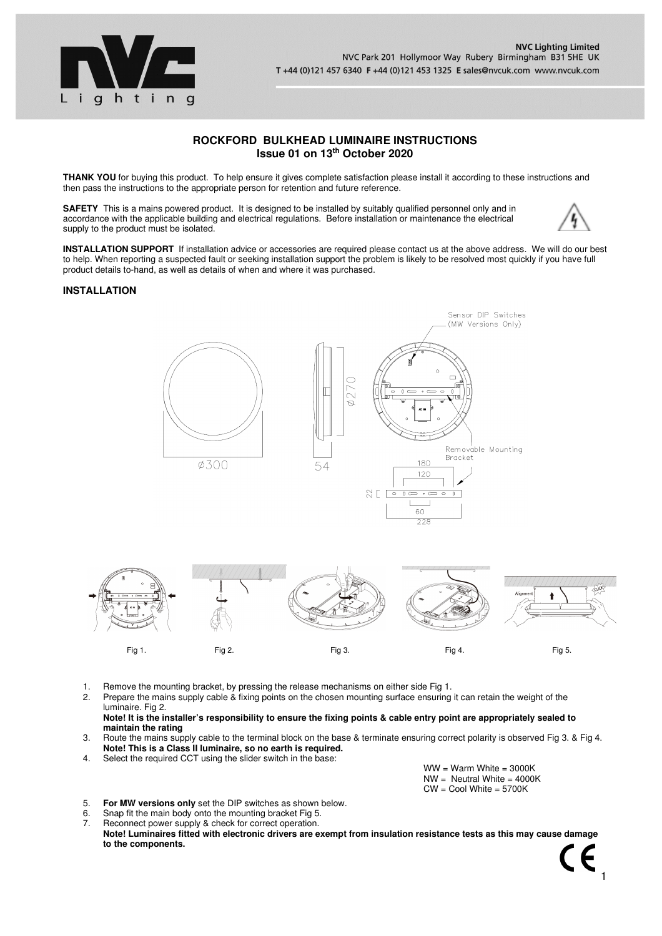

## **ROCKFORD BULKHEAD LUMINAIRE INSTRUCTIONS Issue 01 on 13th October 2020**

**THANK YOU** for buying this product. To help ensure it gives complete satisfaction please install it according to these instructions and then pass the instructions to the appropriate person for retention and future reference.

**SAFETY** This is a mains powered product. It is designed to be installed by suitably qualified personnel only and in accordance with the applicable building and electrical regulations. Before installation or maintenance the electrical supply to the product must be isolated.



**INSTALLATION SUPPORT** If installation advice or accessories are required please contact us at the above address. We will do our best to help. When reporting a suspected fault or seeking installation support the problem is likely to be resolved most quickly if you have full product details to-hand, as well as details of when and where it was purchased.

## **INSTALLATION**



1. Remove the mounting bracket, by pressing the release mechanisms on either side Fig 1.<br>2. Prepare the mains supply cable & fixing points on the chosen mounting surface ensuring

2. Prepare the mains supply cable & fixing points on the chosen mounting surface ensuring it can retain the weight of the luminaire. Fig 2.

## **Note! It is the installer's responsibility to ensure the fixing points & cable entry point are appropriately sealed to maintain the rating**

- 3. Route the mains supply cable to the terminal block on the base & terminate ensuring correct polarity is observed Fig 3. & Fig 4. **Note! This is a Class II luminaire, so no earth is required.**
- 4. Select the required CCT using the slider switch in the base:

 $WW = Warm White = 3000K$  $NW =$  Neutral White = 4000K  $CW = Cool$  White = 5700K

1

- 5. **For MW versions only** set the DIP switches as shown below.
- 6. Snap fit the main body onto the mounting bracket Fig 5.<br>7. Reconnect power supply & check for correct operation.
- Reconnect power supply & check for correct operation.
- **Note! Luminaires fitted with electronic drivers are exempt from insulation resistance tests as this may cause damage to the components.**  CE